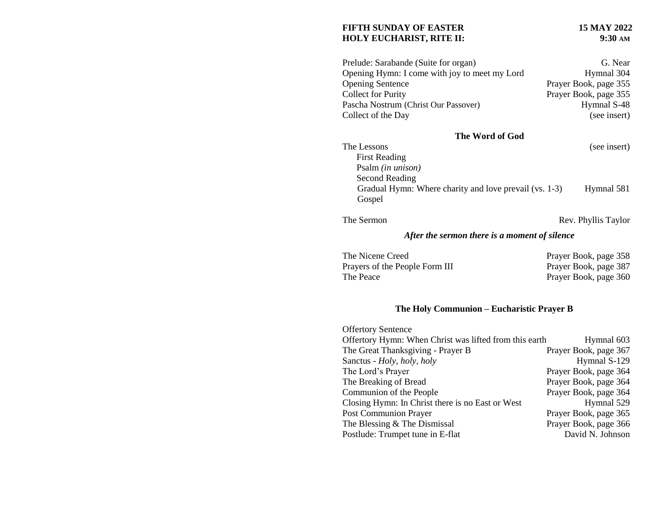### FIFTH SUNDAY OF EASTER<br> **15 MAY 2022**<br> **15 MAY 2022**<br> **15 MAY 2022 HOLY EUCHARIST, RITE II:**

| Prelude: Sarabande (Suite for organ)          | G. Near               |
|-----------------------------------------------|-----------------------|
| Opening Hymn: I come with joy to meet my Lord | Hymnal 304            |
| <b>Opening Sentence</b>                       | Prayer Book, page 355 |
| <b>Collect for Purity</b>                     | Prayer Book, page 355 |
| Pascha Nostrum (Christ Our Passover)          | Hymnal S-48           |
| Collect of the Day                            | (see insert)          |

# **The Word of God**

The Lessons (see insert)

| <b>First Reading</b>                                   |            |  |
|--------------------------------------------------------|------------|--|
| Psalm <i>(in unison)</i>                               |            |  |
| Second Reading                                         |            |  |
| Gradual Hymn: Where charity and love prevail (vs. 1-3) | Hymnal 581 |  |
| Gospel                                                 |            |  |

|  | The Sermon |
|--|------------|
|--|------------|

Rev. Phyllis Taylor

### *After the sermon there is a moment of silence*

| The Nicene Creed               | Prayer Book, page 358 |
|--------------------------------|-----------------------|
| Prayers of the People Form III | Prayer Book, page 387 |
| The Peace                      | Prayer Book, page 360 |

## **The Holy Communion – Eucharistic Prayer B**

| <b>Offertory Sentence</b>                              |                       |
|--------------------------------------------------------|-----------------------|
| Offertory Hymn: When Christ was lifted from this earth | Hymnal 603            |
| The Great Thanksgiving - Prayer B                      | Prayer Book, page 367 |
| Sanctus - Holy, holy, holy                             | Hymnal S-129          |
| The Lord's Prayer                                      | Prayer Book, page 364 |
| The Breaking of Bread                                  | Prayer Book, page 364 |
| Communion of the People                                | Prayer Book, page 364 |
| Closing Hymn: In Christ there is no East or West       | Hymnal 529            |
| <b>Post Communion Prayer</b>                           | Prayer Book, page 365 |
| The Blessing & The Dismissal                           | Prayer Book, page 366 |
| Postlude: Trumpet tune in E-flat                       | David N. Johnson      |